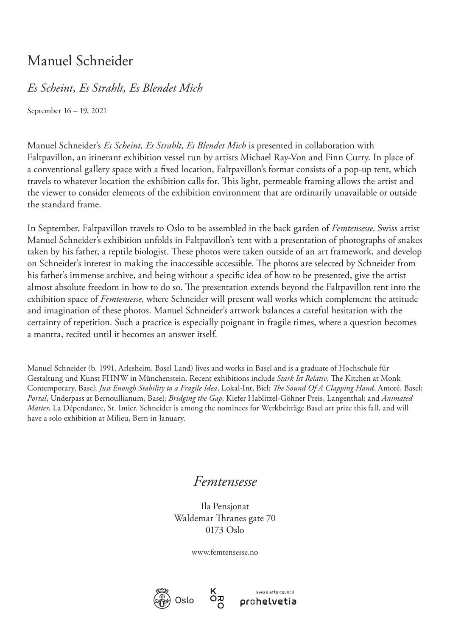## Manuel Schneider

## *Es Scheint, Es Strahlt, Es Blendet Mich*

September 16 – 19, 2021

Manuel Schneider's *Es Scheint, Es Strahlt, Es Blendet Mich* is presented in collaboration with Faltpavillon, an itinerant exhibition vessel run by artists Michael Ray-Von and Finn Curry. In place of a conventional gallery space with a fixed location, Faltpavillon's format consists of a pop-up tent, which travels to whatever location the exhibition calls for. This light, permeable framing allows the artist and the viewer to consider elements of the exhibition environment that are ordinarily unavailable or outside the standard frame.

In September, Faltpavillon travels to Oslo to be assembled in the back garden of *Femtensesse*. Swiss artist Manuel Schneider's exhibition unfolds in Faltpavillon's tent with a presentation of photographs of snakes taken by his father, a reptile biologist. These photos were taken outside of an art framework, and develop on Schneider's interest in making the inaccessible accessible. The photos are selected by Schneider from his father's immense archive, and being without a specific idea of how to be presented, give the artist almost absolute freedom in how to do so. The presentation extends beyond the Faltpavillon tent into the exhibition space of *Femtensesse*, where Schneider will present wall works which complement the attitude and imagination of these photos. Manuel Schneider's artwork balances a careful hesitation with the certainty of repetition. Such a practice is especially poignant in fragile times, where a question becomes a mantra, recited until it becomes an answer itself.

Manuel Schneider (b. 1991, Arlesheim, Basel Land) lives and works in Basel and is a graduate of Hochschule für Gestaltung und Kunst FHNW in Münchenstein. Recent exhibitions include *Stark Ist Relativ*, The Kitchen at Monk Contemporary, Basel; *Just Enough Stability to a Fragile Idea*, Lokal-Int, Biel; *The Sound Of A Clapping Hand*, Amoré, Basel; *Portal*, Underpass at Bernoullianum, Basel; *Bridging the Gap*, Kiefer Hablitzel-Göhner Preis, Langenthal; and *Animated Matter*, La Dépendance, St. Imier. Schneider is among the nominees for Werkbeiträge Basel art prize this fall, and will have a solo exhibition at Milieu, Bern in January.

## *Femtensesse*

Ila Pensjonat Waldemar Thranes gate 70 0173 Oslo

www.femtensesse.no